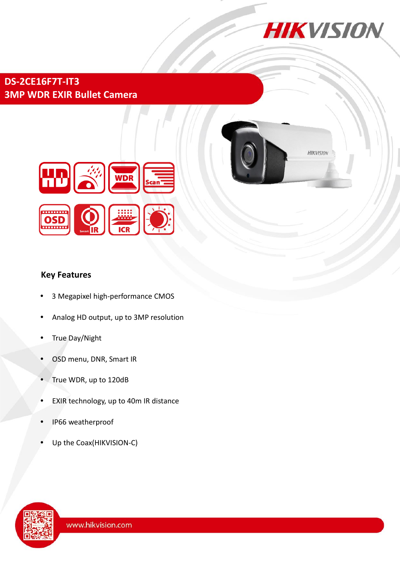

## **DS-2CE16F7T-IT3 3MP WDR EXIR Bullet Camera**





## **Key Features**

- 3 Megapixel high-performance CMOS
- Analog HD output, up to 3MP resolution
- True Day/Night
- OSD menu, DNR, Smart IR
- True WDR, up to 120dB
- EXIR technology, up to 40m IR distance
- IP66 weatherproof
- Up the Coax(HIKVISION-C)

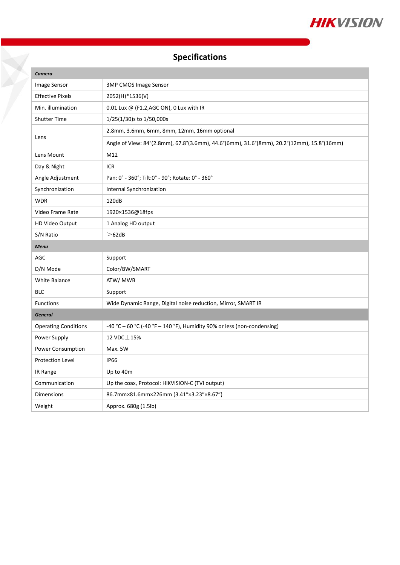

# **Specifications**

| Camera                      |                                                                                           |
|-----------------------------|-------------------------------------------------------------------------------------------|
| Image Sensor                | <b>3MP CMOS Image Sensor</b>                                                              |
| <b>Effective Pixels</b>     | 2052(H)*1536(V)                                                                           |
| Min. illumination           | 0.01 Lux @ (F1.2, AGC ON), 0 Lux with IR                                                  |
| <b>Shutter Time</b>         | $1/25(1/30)$ s to $1/50,000$ s                                                            |
| Lens                        | 2.8mm, 3.6mm, 6mm, 8mm, 12mm, 16mm optional                                               |
|                             | Angle of View: 84°(2.8mm), 67.8°(3.6mm), 44.6°(6mm), 31.6°(8mm), 20.2°(12mm), 15.8°(16mm) |
| Lens Mount                  | M12                                                                                       |
| Day & Night                 | ICR                                                                                       |
| Angle Adjustment            | Pan: 0° - 360°; Tilt:0° - 90°; Rotate: 0° - 360°                                          |
| Synchronization             | Internal Synchronization                                                                  |
| <b>WDR</b>                  | 120dB                                                                                     |
| Video Frame Rate            | 1920×1536@18fps                                                                           |
| HD Video Output             | 1 Analog HD output                                                                        |
| S/N Ratio                   | >62dB                                                                                     |
|                             |                                                                                           |
| <b>Menu</b>                 |                                                                                           |
| AGC                         | Support                                                                                   |
| D/N Mode                    | Color/BW/SMART                                                                            |
| White Balance               | ATW/ MWB                                                                                  |
| <b>BLC</b>                  | Support                                                                                   |
| <b>Functions</b>            | Wide Dynamic Range, Digital noise reduction, Mirror, SMART IR                             |
| <b>General</b>              |                                                                                           |
| <b>Operating Conditions</b> | -40 °C - 60 °C (-40 °F - 140 °F), Humidity 90% or less (non-condensing)                   |
| Power Supply                | 12 VDC $\pm$ 15%                                                                          |
| Power Consumption           | Max. 5W                                                                                   |
| <b>Protection Level</b>     | <b>IP66</b>                                                                               |
| IR Range                    | Up to 40m                                                                                 |
| Communication               | Up the coax, Protocol: HIKVISION-C (TVI output)                                           |
| <b>Dimensions</b>           | 86.7mm×81.6mm×226mm (3.41"×3.23"×8.67")                                                   |